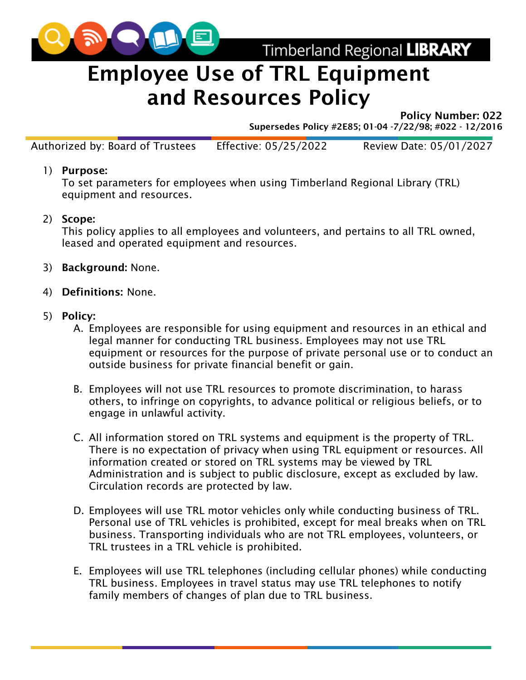

Timberland Regional LIBRARY

# Employee Use of TRL Equipment and Resources Policy

Policy Number: 022

Supersedes Policy #2E85; 01-04 -7/22/98; #022 - 12/2016

Authorized by: Board of Trustees Effective: 05/25/2022 Review Date: 05/01/2027

#### 1) Purpose:

To set parameters for employees when using Timberland Regional Library (TRL) equipment and resources.

### 2) Scope:

This policy applies to all employees and volunteers, and pertains to all TRL owned, leased and operated equipment and resources.

- 3) Background: None.
- 4) Definitions: None.

#### 5) Policy:

- A. Employees are responsible for using equipment and resources in an ethical and legal manner for conducting TRL business. Employees may not use TRL equipment or resources for the purpose of private personal use or to conduct an outside business for private financial benefit or gain.
- B. Employees will not use TRL resources to promote discrimination, to harass others, to infringe on copyrights, to advance political or religious beliefs, or to engage in unlawful activity.
- C. All information stored on TRL systems and equipment is the property of TRL. There is no expectation of privacy when using TRL equipment or resources. All information created or stored on TRL systems may be viewed by TRL Administration and is subject to public disclosure, except as excluded by law. Circulation records are protected by law.
- D. Employees will use TRL motor vehicles only while conducting business of TRL. Personal use of TRL vehicles is prohibited, except for meal breaks when on TRL business. Transporting individuals who are not TRL employees, volunteers, or TRL trustees in a TRL vehicle is prohibited.
- E. Employees will use TRL telephones (including cellular phones) while conducting TRL business. Employees in travel status may use TRL telephones to notify family members of changes of plan due to TRL business.